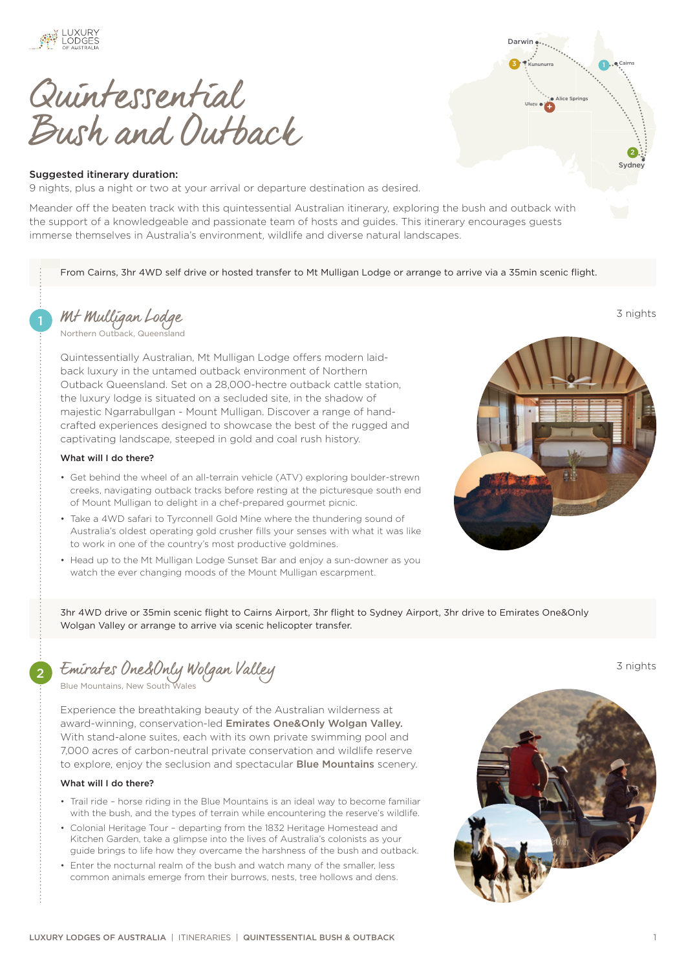

Quintessential Bush and Outback

# Suggested itinerary duration:

9 nights, plus a night or two at your arrival or departure destination as desired.

Meander off the beaten track with this quintessential Australian itinerary, exploring the bush and outback with the support of a knowledgeable and passionate team of hosts and guides. This itinerary encourages guests immerse themselves in Australia's environment, wildlife and diverse natural landscapes.

From Cairns, 3hr 4WD self drive or hosted transfer to Mt Mulligan Lodge or arrange to arrive via a 35min scenic flight.

1 [Mt Mulligan Lodge](https://luxurylodgesofaustralia.com.au/lodges/mtmulliganlodge/) 3 nights

[Northern Outback, Queensland](https://luxurylodgesofaustralia.com.au/destinations/northern-outback/)

Quintessentially Australian, Mt Mulligan Lodge offers modern laidback luxury in the untamed outback environment of Northern Outback Queensland. Set on a 28,000-hectre outback cattle station, the luxury lodge is situated on a secluded site, in the shadow of majestic Ngarrabullgan - Mount Mulligan. Discover a range of handcrafted experiences designed to showcase the best of the rugged and captivating landscape, steeped in gold and coal rush history.

### What will I do there?

- Get behind the wheel of an all-terrain vehicle (ATV) exploring boulder-strewn creeks, navigating outback tracks before resting at the picturesque south end of Mount Mulligan to delight in a chef-prepared gourmet picnic.
- Take a 4WD safari to Tyrconnell Gold Mine where the thundering sound of Australia's oldest operating gold crusher fills your senses with what it was like to work in one of the country's most productive goldmines.
- Head up to the Mt Mulligan Lodge Sunset Bar and enjoy a sun-downer as you watch the ever changing moods of the Mount Mulligan escarpment.



3<sup>o</sup> Kununurra

Uluru + Alice Springs

Darwin ...

Sydney 2

1.<sup>8</sup>Cairns

3hr 4WD drive or 35min scenic flight to Cairns Airport, 3hr flight to Sydney Airport, 3hr drive to Emirates One&Only Wolgan Valley or arrange to arrive via scenic helicopter transfer.

2 [Emirates One&Only Wolgan Valley](https://luxurylodgesofaustralia.com.au/lodges/wolganvalley/) 3 nights

[Blue Mountains, New South Wales](https://luxurylodgesofaustralia.com.au/destinations/blue-mountains/)

Experience the breathtaking beauty of the Australian wilderness at award-winning, conservation-led [Emirates One&Only Wolgan Valley.](https://luxurylodgesofaustralia.com.au/lodges/wolganvalley/) With stand-alone suites, each with its own private swimming pool and 7,000 acres of carbon-neutral private conservation and wildlife reserve to explore, enjoy the seclusion and spectacular [Blue Mountains](https://luxurylodgesofaustralia.com.au/destinations/blue-mountains/) scenery.

#### What will I do there?

- Trail ride horse riding in the Blue Mountains is an ideal way to become familiar with the bush, and the types of terrain while encountering the reserve's wildlife.
- Colonial Heritage Tour departing from the 1832 Heritage Homestead and Kitchen Garden, take a glimpse into the lives of Australia's colonists as your guide brings to life how they overcame the harshness of the bush and outback.
- Enter the nocturnal realm of the bush and watch many of the smaller, less common animals emerge from their burrows, nests, tree hollows and dens.